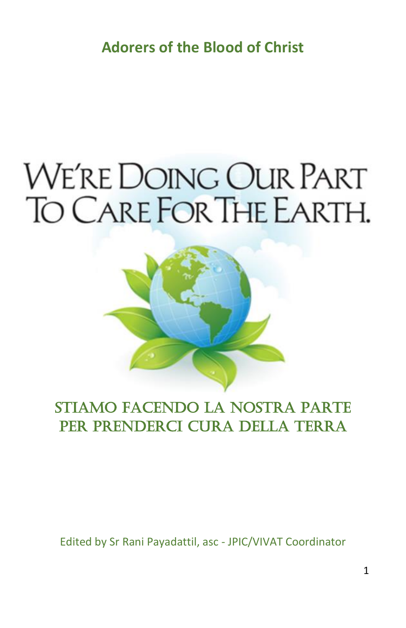**Adorers of the Blood of Christ**

# WE'RE DOING OUR PART TO CARE FOR THE EARTH.



# Stiamo facendo la nostra parte per prenderci cura della Terra

Edited by Sr Rani Payadattil, asc - JPIC/VIVAT Coordinator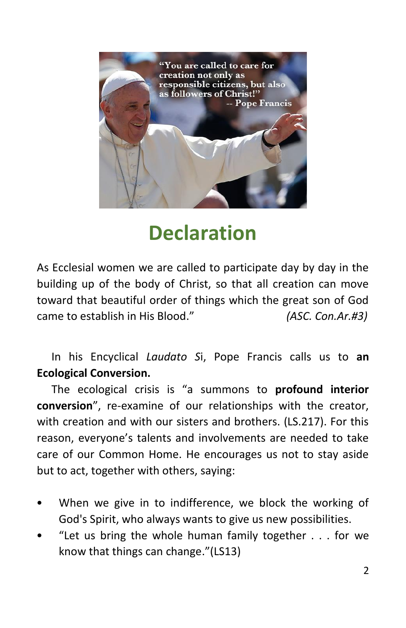

# **Declaration**

As Ecclesial women we are called to participate day by day in the building up of the body of Christ, so that all creation can move toward that beautiful order of things which the great son of God came to establish in His Blood." *(ASC. Con.Ar.#3)*

In his Encyclical *Laudato S*i, Pope Francis calls us to **an Ecological Conversion.** 

The ecological crisis is "a summons to **profound interior conversion**", re-examine of our relationships with the creator, with creation and with our sisters and brothers. (LS.217). For this reason, everyone's talents and involvements are needed to take care of our Common Home. He encourages us not to stay aside but to act, together with others, saying:

- When we give in to indifference, we block the working of God's Spirit, who always wants to give us new possibilities.
- "Let us bring the whole human family together  $\ldots$  for we know that things can change."(LS13)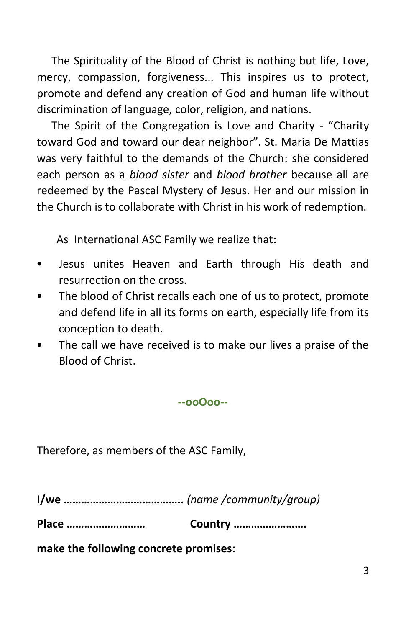The Spirituality of the Blood of Christ is nothing but life, Love, mercy, compassion, forgiveness... This inspires us to protect, promote and defend any creation of God and human life without discrimination of language, color, religion, and nations.

The Spirit of the Congregation is Love and Charity - "Charity toward God and toward our dear neighbor". St. Maria De Mattias was very faithful to the demands of the Church: she considered each person as a *blood sister* and *blood brother* because all are redeemed by the Pascal Mystery of Jesus. Her and our mission in the Church is to collaborate with Christ in his work of redemption.

As International ASC Family we realize that:

- Jesus unites Heaven and Earth through His death and resurrection on the cross.
- The blood of Christ recalls each one of us to protect, promote and defend life in all its forms on earth, especially life from its conception to death.
- The call we have received is to make our lives a praise of the Blood of Christ.

**--ooOoo--**

Therefore, as members of the ASC Family,

**I/we …………………………………..** *(name /community/group)*

**Place ……………………… Country …………………….**

**make the following concrete promises:**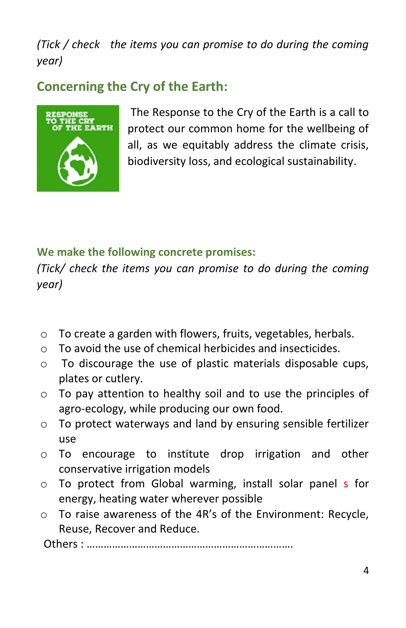*(Tick / check the items you can promise to do during the coming year)*

# **Concerning the Cry of the Earth:**



The Response to the Cry of the Earth is a call to protect our common home for the wellbeing of all, as we equitably address the climate crisis, biodiversity loss, and ecological sustainability.

#### **We make the following concrete promises:**

*(Tick/ check the items you can promise to do during the coming year)*

- o To create a garden with flowers, fruits, vegetables, herbals.
- o To avoid the use of chemical herbicides and insecticides.
- o To discourage the use of plastic materials disposable cups, plates or cutlery.
- o To pay attention to healthy soil and to use the principles of agro-ecology, while producing our own food.
- o To protect waterways and land by ensuring sensible fertilizer use
- o To encourage to institute drop irrigation and other conservative irrigation models
- o To protect from Global warming, install solar panel s for energy, heating water wherever possible
- o To raise awareness of the 4R's of the Environment: Recycle, Reuse, Recover and Reduce.

Others : ……………………………………………………………….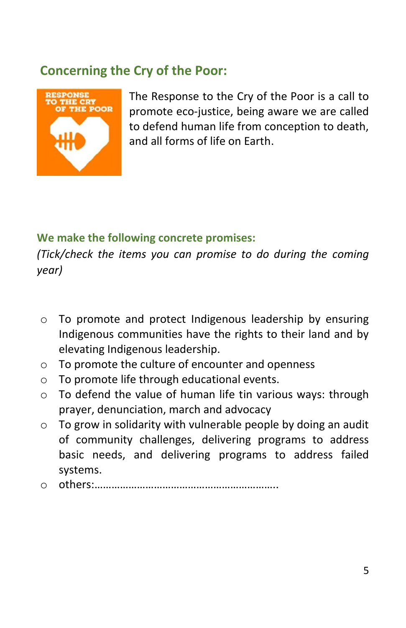## **Concerning the Cry of the Poor:**



The Response to the Cry of the Poor is a call to promote eco-justice, being aware we are called to defend human life from conception to death, and all forms of life on Earth.

#### **We make the following concrete promises:**

- o To promote and protect Indigenous leadership by ensuring Indigenous communities have the rights to their land and by elevating Indigenous leadership.
- o To promote the culture of encounter and openness
- o To promote life through educational events.
- $\circ$  To defend the value of human life tin various ways: through prayer, denunciation, march and advocacy
- $\circ$  To grow in solidarity with vulnerable people by doing an audit of community challenges, delivering programs to address basic needs, and delivering programs to address failed systems.
- o others:………………………………………………………..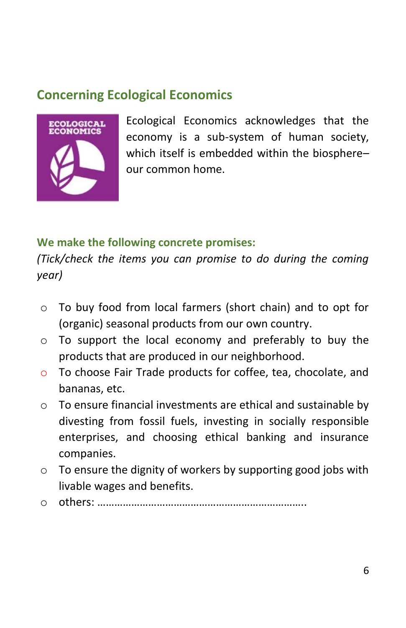# **Concerning Ecological Economics**



Ecological Economics acknowledges that the economy is a sub-system of human society, which itself is embedded within the biosphere– our common home.

#### **We make the following concrete promises:**

- o To buy food from local farmers (short chain) and to opt for (organic) seasonal products from our own country.
- o To support the local economy and preferably to buy the products that are produced in our neighborhood.
- o To choose Fair Trade products for coffee, tea, chocolate, and bananas, etc.
- o To ensure financial investments are ethical and sustainable by divesting from fossil fuels, investing in socially responsible enterprises, and choosing ethical banking and insurance companies.
- $\circ$  To ensure the dignity of workers by supporting good jobs with livable wages and benefits.
- o others: ………………………………………………………………..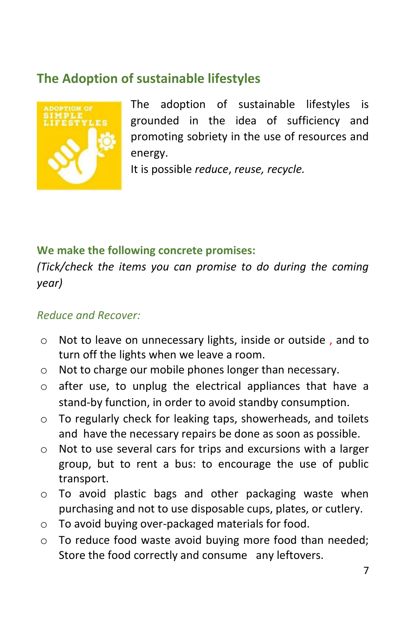# **The Adoption of sustainable lifestyles**



The adoption of sustainable lifestyles is grounded in the idea of sufficiency and promoting sobriety in the use of resources and energy.

It is possible *reduce*, *reuse, recycle.*

#### **We make the following concrete promises:**

*(Tick/check the items you can promise to do during the coming year)*

#### *Reduce and Recover:*

- o Not to leave on unnecessary lights, inside or outside , and to turn off the lights when we leave a room.
- o Not to charge our mobile phones longer than necessary.
- o after use, to unplug the electrical appliances that have a stand-by function, in order to avoid standby consumption.
- o To regularly check for leaking taps, showerheads, and toilets and have the necessary repairs be done as soon as possible.
- o Not to use several cars for trips and excursions with a larger group, but to rent a bus: to encourage the use of public transport.
- o To avoid plastic bags and other packaging waste when purchasing and not to use disposable cups, plates, or cutlery.
- o To avoid buying over-packaged materials for food.
- o To reduce food waste avoid buying more food than needed; Store the food correctly and consume any leftovers.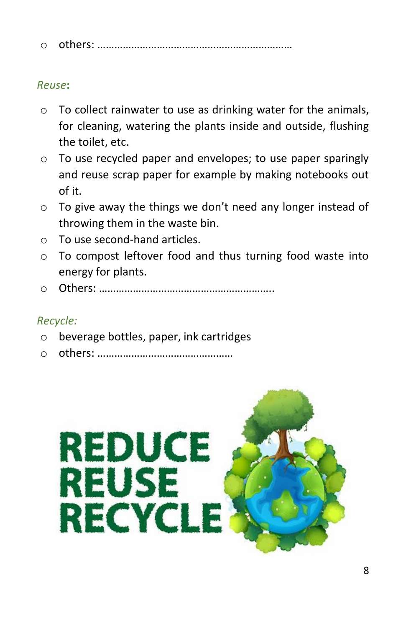|--|--|

#### *Reuse***:**

- o To collect rainwater to use as drinking water for the animals, for cleaning, watering the plants inside and outside, flushing the toilet, etc.
- o To use recycled paper and envelopes; to use paper sparingly and reuse scrap paper for example by making notebooks out of it.
- o To give away the things we don't need any longer instead of throwing them in the waste bin.
- o To use second-hand articles.
- o To compost leftover food and thus turning food waste into energy for plants.
- o Others: ……………………………………………………..

#### *Recycle:*

- o beverage bottles, paper, ink cartridges
- o others: …………………………………………

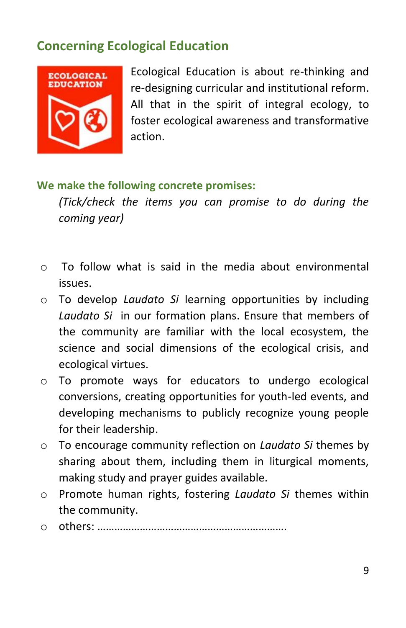# **Concerning Ecological Education**



Ecological Education is about re-thinking and re-designing curricular and institutional reform. All that in the spirit of integral ecology, to foster ecological awareness and transformative action.

#### **We make the following concrete promises:**

- $\circ$  To follow what is said in the media about environmental issues.
- o To develop *Laudato Si* learning opportunities by including *Laudato Si* in our formation plans. Ensure that members of the community are familiar with the local ecosystem, the science and social dimensions of the ecological crisis, and ecological virtues.
- o To promote ways for educators to undergo ecological conversions, creating opportunities for youth-led events, and developing mechanisms to publicly recognize young people for their leadership.
- o To encourage community reflection on *Laudato Si* themes by sharing about them, including them in liturgical moments, making study and prayer guides available.
- o Promote human rights, fostering *Laudato Si* themes within the community.
- o others: ………………………………………………………….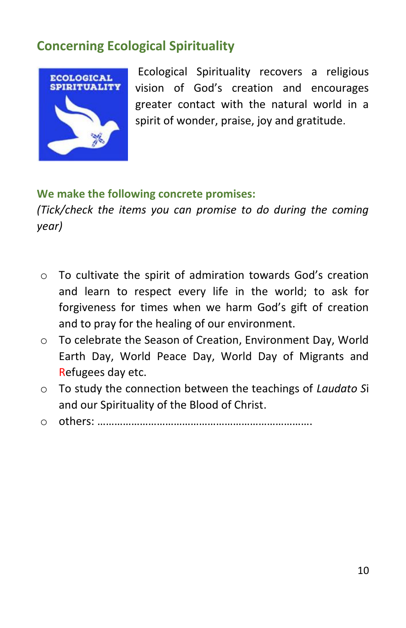# **Concerning Ecological Spirituality**



Ecological Spirituality recovers a religious vision of God's creation and encourages greater contact with the natural world in a spirit of wonder, praise, joy and gratitude.

#### **We make the following concrete promises:**

- o To cultivate the spirit of admiration towards God's creation and learn to respect every life in the world; to ask for forgiveness for times when we harm God's gift of creation and to pray for the healing of our environment.
- o To celebrate the Season of Creation, Environment Day, World Earth Day, World Peace Day, World Day of Migrants and Refugees day etc.
- o To study the connection between the teachings of *Laudato S*i and our Spirituality of the Blood of Christ.
- o others: ………………………………………………………………….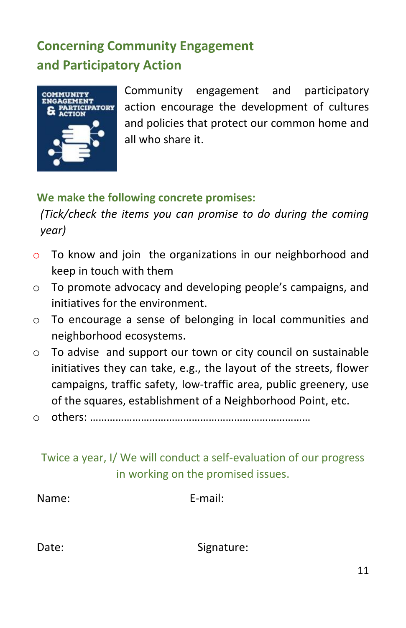# **Concerning Community Engagement and Participatory Action**



Community engagement and participatory action encourage the development of cultures and policies that protect our common home and all who share it.

#### **We make the following concrete promises:**

*(Tick/check the items you can promise to do during the coming year)*

- o To know and join the organizations in our neighborhood and keep in touch with them
- o To promote advocacy and developing people's campaigns, and initiatives for the environment.
- o To encourage a sense of belonging in local communities and neighborhood ecosystems.
- o To advise and support our town or city council on sustainable initiatives they can take, e.g., the layout of the streets, flower campaigns, traffic safety, low-traffic area, public greenery, use of the squares, establishment of a Neighborhood Point, etc.
- o others: ……………………………………………………………………

### Twice a year, I/ We will conduct a self-evaluation of our progress in working on the promised issues.

| Name: | E-mail: |
|-------|---------|
|       |         |

Date: Signature: